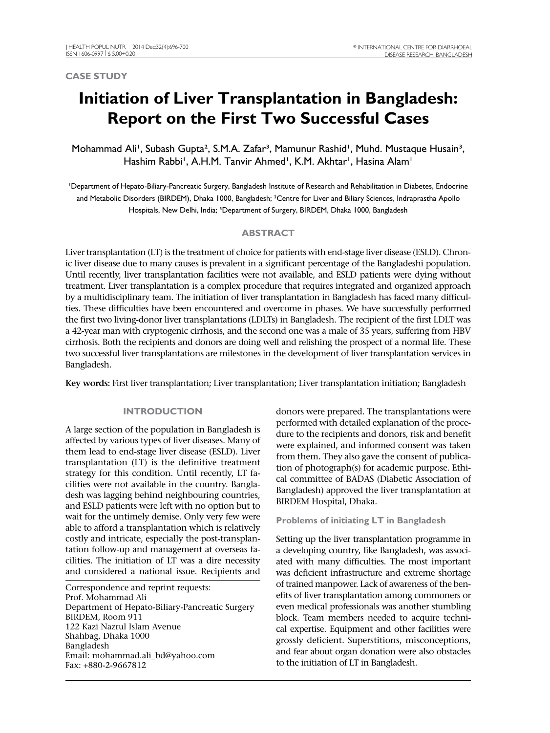#### **CASE STUDY**

# **Initiation of Liver Transplantation in Bangladesh: Report on the First Two Successful Cases**

Mohammad Ali', Subash Gupta<sup>2</sup>, S.M.A. Zafar<sup>3</sup>, Mamunur Rashid', Muhd. Mustaque Husain<sup>3</sup>, Hashim Rabbi', A.H.M. Tanvir Ahmed', K.M. Akhtar', Hasina Alam'

<sup>1</sup>Department of Hepato-Biliary-Pancreatic Surgery, Bangladesh Institute of Research and Rehabilitation in Diabetes, Endocrine and Metabolic Disorders (BIRDEM), Dhaka 1000, Bangladesh; ²Centre for Liver and Biliary Sciences, Indraprastha Apollo Hospitals, New Delhi, India; <sup>3</sup>Department of Surgery, BIRDEM, Dhaka 1000, Bangladesh

### **ABSTRACT**

Liver transplantation (LT) is the treatment of choice for patients with end-stage liver disease (ESLD). Chronic liver disease due to many causes is prevalent in a significant percentage of the Bangladeshi population. Until recently, liver transplantation facilities were not available, and ESLD patients were dying without treatment. Liver transplantation is a complex procedure that requires integrated and organized approach by a multidisciplinary team. The initiation of liver transplantation in Bangladesh has faced many difficulties. These difficulties have been encountered and overcome in phases. We have successfully performed the first two living-donor liver transplantations (LDLTs) in Bangladesh. The recipient of the first LDLT was a 42-year man with cryptogenic cirrhosis, and the second one was a male of 35 years, suffering from HBV cirrhosis. Both the recipients and donors are doing well and relishing the prospect of a normal life. These two successful liver transplantations are milestones in the development of liver transplantation services in Bangladesh.

**Key words:** First liver transplantation; Liver transplantation; Liver transplantation initiation; Bangladesh

#### **INTRODUCTION**

A large section of the population in Bangladesh is affected by various types of liver diseases. Many of them lead to end-stage liver disease (ESLD). Liver transplantation (LT) is the definitive treatment strategy for this condition. Until recently, LT facilities were not available in the country. Bangladesh was lagging behind neighbouring countries, and ESLD patients were left with no option but to wait for the untimely demise. Only very few were able to afford a transplantation which is relatively costly and intricate, especially the post-transplantation follow-up and management at overseas facilities. The initiation of LT was a dire necessity and considered a national issue. Recipients and

Correspondence and reprint requests: Prof. Mohammad Ali Department of Hepato-Biliary-Pancreatic Surgery BIRDEM, Room 911 122 Kazi Nazrul Islam Avenue Shahbag, Dhaka 1000 Bangladesh Email: mohammad.ali\_bd@yahoo.com Fax: +880-2-9667812

donors were prepared. The transplantations were performed with detailed explanation of the procedure to the recipients and donors, risk and benefit were explained, and informed consent was taken from them. They also gave the consent of publication of photograph(s) for academic purpose. Ethical committee of BADAS (Diabetic Association of Bangladesh) approved the liver transplantation at BIRDEM Hospital, Dhaka.

#### **Problems of initiating LT in Bangladesh**

Setting up the liver transplantation programme in a developing country, like Bangladesh, was associated with many difficulties. The most important was deficient infrastructure and extreme shortage of trained manpower. Lack of awareness of the benefits of liver transplantation among commoners or even medical professionals was another stumbling block. Team members needed to acquire technical expertise. Equipment and other facilities were grossly deficient. Superstitions, misconceptions, and fear about organ donation were also obstacles to the initiation of LT in Bangladesh.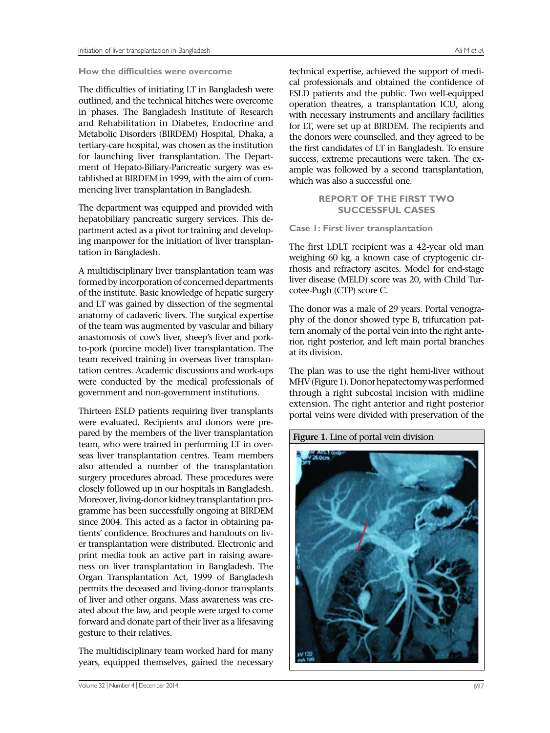#### **How the difficulties were overcome**

The difficulties of initiating LT in Bangladesh were outlined, and the technical hitches were overcome in phases. The Bangladesh Institute of Research and Rehabilitation in Diabetes, Endocrine and Metabolic Disorders (BIRDEM) Hospital, Dhaka, a tertiary-care hospital, was chosen as the institution for launching liver transplantation. The Department of Hepato-Biliary-Pancreatic surgery was established at BIRDEM in 1999, with the aim of commencing liver transplantation in Bangladesh.

The department was equipped and provided with hepatobiliary pancreatic surgery services. This department acted as a pivot for training and developing manpower for the initiation of liver transplantation in Bangladesh.

A multidisciplinary liver transplantation team was formed by incorporation of concerned departments of the institute. Basic knowledge of hepatic surgery and LT was gained by dissection of the segmental anatomy of cadaveric livers. The surgical expertise of the team was augmented by vascular and biliary anastomosis of cow's liver, sheep's liver and porkto-pork (porcine model) liver transplantation. The team received training in overseas liver transplantation centres. Academic discussions and work-ups were conducted by the medical professionals of government and non-government institutions.

Thirteen ESLD patients requiring liver transplants were evaluated. Recipients and donors were prepared by the members of the liver transplantation team, who were trained in performing LT in overseas liver transplantation centres. Team members also attended a number of the transplantation surgery procedures abroad. These procedures were closely followed up in our hospitals in Bangladesh. Moreover, living-donor kidney transplantation programme has been successfully ongoing at BIRDEM since 2004. This acted as a factor in obtaining patients' confidence. Brochures and handouts on liver transplantation were distributed. Electronic and print media took an active part in raising awareness on liver transplantation in Bangladesh. The Organ Transplantation Act, 1999 of Bangladesh permits the deceased and living-donor transplants of liver and other organs. Mass awareness was created about the law, and people were urged to come forward and donate part of their liver as a lifesaving gesture to their relatives.

The multidisciplinary team worked hard for many years, equipped themselves, gained the necessary

technical expertise, achieved the support of medical professionals and obtained the confidence of ESLD patients and the public. Two well-equipped operation theatres, a transplantation ICU, along with necessary instruments and ancillary facilities for LT, were set up at BIRDEM. The recipients and the donors were counselled, and they agreed to be the first candidates of LT in Bangladesh. To ensure success, extreme precautions were taken. The example was followed by a second transplantation, which was also a successful one.

## **REPORT OF THE FIRST TWO SUCCESSFUL CASES**

**Case 1: First liver transplantation** 

The first LDLT recipient was a 42-year old man weighing 60 kg, a known case of cryptogenic cirrhosis and refractory ascites. Model for end-stage liver disease (MELD) score was 20, with Child Turcotee-Pugh (CTP) score C.

The donor was a male of 29 years. Portal venography of the donor showed type B, trifurcation pattern anomaly of the portal vein into the right anterior, right posterior, and left main portal branches at its division.

The plan was to use the right hemi-liver without MHV (Figure 1). Donor hepatectomy was performed through a right subcostal incision with midline extension. The right anterior and right posterior portal veins were divided with preservation of the

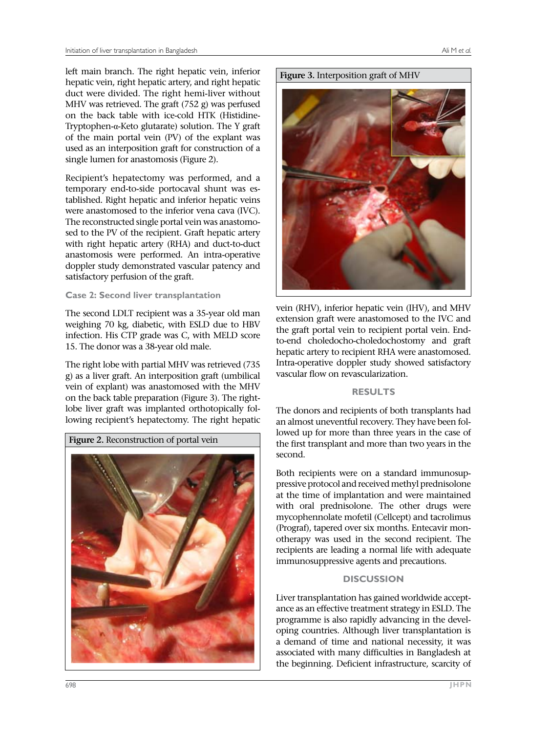left main branch. The right hepatic vein, inferior hepatic vein, right hepatic artery, and right hepatic duct were divided. The right hemi-liver without MHV was retrieved. The graft (752 g) was perfused on the back table with ice-cold HTK (Histidine-Tryptophen-α-Keto glutarate) solution. The Y graft of the main portal vein (PV) of the explant was used as an interposition graft for construction of a single lumen for anastomosis (Figure 2).

Recipient's hepatectomy was performed, and a temporary end-to-side portocaval shunt was established. Right hepatic and inferior hepatic veins were anastomosed to the inferior vena cava (IVC). The reconstructed single portal vein was anastomosed to the PV of the recipient. Graft hepatic artery with right hepatic artery (RHA) and duct-to-duct anastomosis were performed. An intra-operative doppler study demonstrated vascular patency and satisfactory perfusion of the graft.

## **Case 2: Second liver transplantation**

The second LDLT recipient was a 35-year old man weighing 70 kg, diabetic, with ESLD due to HBV infection. His CTP grade was C, with MELD score 15. The donor was a 38-year old male.

The right lobe with partial MHV was retrieved (735 g) as a liver graft. An interposition graft (umbilical vein of explant) was anastomosed with the MHV on the back table preparation (Figure 3). The rightlobe liver graft was implanted orthotopically following recipient's hepatectomy. The right hepatic





vein (RHV), inferior hepatic vein (IHV), and MHV extension graft were anastomosed to the IVC and the graft portal vein to recipient portal vein. Endto-end choledocho-choledochostomy and graft hepatic artery to recipient RHA were anastomosed. Intra-operative doppler study showed satisfactory vascular flow on revascularization.

## **RESULTS**

The donors and recipients of both transplants had an almost uneventful recovery. They have been followed up for more than three years in the case of the first transplant and more than two years in the second.

Both recipients were on a standard immunosuppressive protocol and received methyl prednisolone at the time of implantation and were maintained with oral prednisolone. The other drugs were mycophennolate mofetil (Cellcept) and tacrolimus (Prograf), tapered over six months. Entecavir monotherapy was used in the second recipient. The recipients are leading a normal life with adequate immunosuppressive agents and precautions.

## **DISCUSSION**

Liver transplantation has gained worldwide acceptance as an effective treatment strategy in ESLD. The programme is also rapidly advancing in the developing countries. Although liver transplantation is a demand of time and national necessity, it was associated with many difficulties in Bangladesh at the beginning. Deficient infrastructure, scarcity of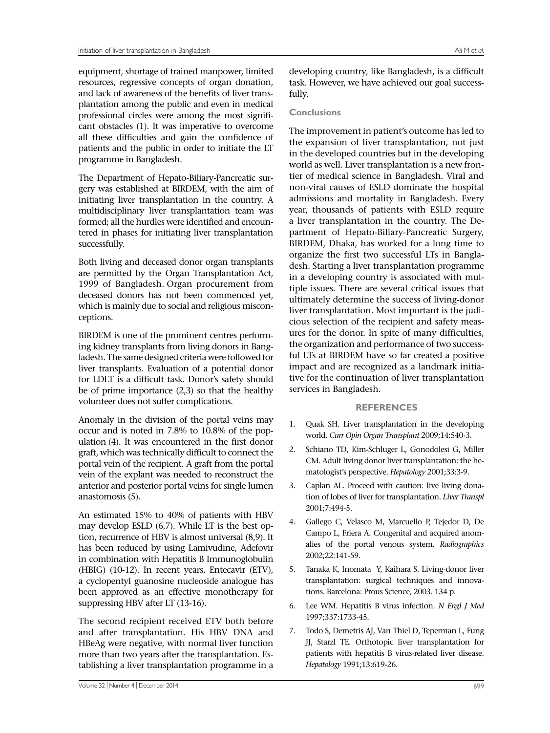equipment, shortage of trained manpower, limited resources, regressive concepts of organ donation, and lack of awareness of the benefits of liver transplantation among the public and even in medical professional circles were among the most significant obstacles (1). It was imperative to overcome all these difficulties and gain the confidence of patients and the public in order to initiate the LT programme in Bangladesh.

The Department of Hepato-Biliary-Pancreatic surgery was established at BIRDEM, with the aim of initiating liver transplantation in the country. A multidisciplinary liver transplantation team was formed; all the hurdles were identified and encountered in phases for initiating liver transplantation successfully.

Both living and deceased donor organ transplants are permitted by the Organ Transplantation Act, 1999 of Bangladesh. Organ procurement from deceased donors has not been commenced yet, which is mainly due to social and religious misconceptions.

BIRDEM is one of the prominent centres performing kidney transplants from living donors in Bangladesh. The same designed criteria were followed for liver transplants. Evaluation of a potential donor for LDLT is a difficult task. Donor's safety should be of prime importance  $(2,3)$  so that the healthy volunteer does not suffer complications.

Anomaly in the division of the portal veins may occur and is noted in 7.8% to 10.8% of the population (4). It was encountered in the first donor graft, which was technically difficult to connect the portal vein of the recipient. A graft from the portal vein of the explant was needed to reconstruct the anterior and posterior portal veins for single lumen anastomosis (5).

An estimated 15% to 40% of patients with HBV may develop ESLD (6,7). While LT is the best option, recurrence of HBV is almost universal (8,9). It has been reduced by using Lamivudine, Adefovir in combination with Hepatitis B Immunoglobulin (HBIG) (10-12). In recent years, Entecavir (ETV), a cyclopentyl guanosine nucleoside analogue has been approved as an effective monotherapy for suppressing HBV after LT (13-16).

The second recipient received ETV both before and after transplantation. His HBV DNA and HBeAg were negative, with normal liver function more than two years after the transplantation. Establishing a liver transplantation programme in a

developing country, like Bangladesh, is a difficult task. However, we have achieved our goal successfully.

#### **Conclusions**

The improvement in patient's outcome has led to the expansion of liver transplantation, not just in the developed countries but in the developing world as well. Liver transplantation is a new frontier of medical science in Bangladesh. Viral and non-viral causes of ESLD dominate the hospital admissions and mortality in Bangladesh. Every year, thousands of patients with ESLD require a liver transplantation in the country. The Department of Hepato-Biliary-Pancreatic Surgery, BIRDEM, Dhaka, has worked for a long time to organize the first two successful LTs in Bangladesh. Starting a liver transplantation programme in a developing country is associated with multiple issues. There are several critical issues that ultimately determine the success of living-donor liver transplantation. Most important is the judicious selection of the recipient and safety measures for the donor. In spite of many difficulties, the organization and performance of two successful LTs at BIRDEM have so far created a positive impact and are recognized as a landmark initiative for the continuation of liver transplantation services in Bangladesh.

## **REFERENCES**

- 1. Quak SH. Liver transplantation in the developing world. *Curr Opin Organ Transplant* 2009;14:540-3.
- 2. Schiano TD, Kim-Schluger L, Gonodolesi G, Miller CM. Adult living donor liver transplantation: the hematologist's perspective. *Hepatology* 2001;33:3-9.
- 3. Caplan AL. Proceed with caution: live living donation of lobes of liver for transplantation. *Liver Transpl* 2001;7:494-5.
- 4. Gallego C, Velasco M, Marcuello P, Tejedor D, De Campo L, Friera A. Congenital and acquired anomalies of the portal venous system. *Radiographics* 2002;22:141-59.
- 5. Tanaka K, Inomata Y, Kaihara S. Living-donor liver transplantation: surgical techniques and innovations. Barcelona: Prous Science, 2003. 134 p.
- 6. Lee WM. Hepatitis B virus infection. *N Engl J Med* 1997;337:1733-45.
- 7. Todo S, Demetris AJ, Van Thiel D, Teperman L, Fung JJ, Starzl TE. Orthotopic liver transplantation for patients with hepatitis B virus-related liver disease. *Hepatology* 1991;13:619-26.